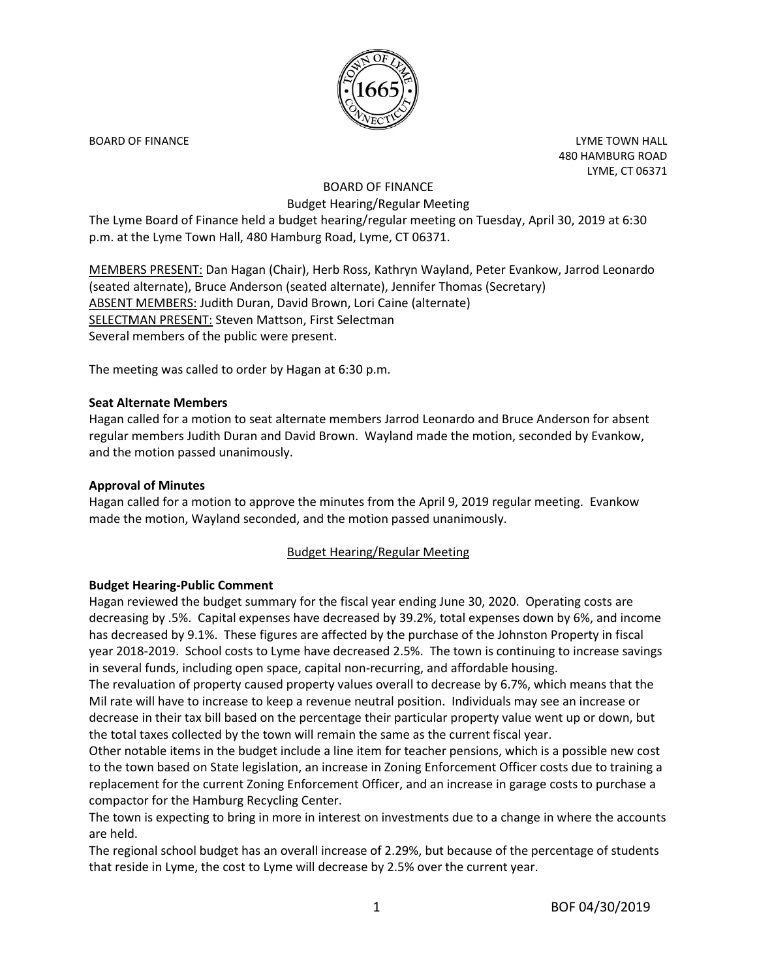

BOARD OF FINANCE **EXAMPLE TOWA HALL** 480 HAMBURG ROAD LYME, CT 06371

# BOARD OF FINANCE Budget Hearing/Regular Meeting

The Lyme Board of Finance held a budget hearing/regular meeting on Tuesday, April 30, 2019 at 6:30 p.m. at the Lyme Town Hall, 480 Hamburg Road, Lyme, CT 06371.

MEMBERS PRESENT: Dan Hagan (Chair), Herb Ross, Kathryn Wayland, Peter Evankow, Jarrod Leonardo (seated alternate), Bruce Anderson (seated alternate), Jennifer Thomas (Secretary) ABSENT MEMBERS: Judith Duran, David Brown, Lori Caine (alternate) SELECTMAN PRESENT: Steven Mattson, First Selectman Several members of the public were present.

The meeting was called to order by Hagan at 6:30 p.m.

## **Seat Alternate Members**

Hagan called for a motion to seat alternate members Jarrod Leonardo and Bruce Anderson for absent regular members Judith Duran and David Brown. Wayland made the motion, seconded by Evankow, and the motion passed unanimously.

#### **Approval of Minutes**

Hagan called for a motion to approve the minutes from the April 9, 2019 regular meeting. Evankow made the motion, Wayland seconded, and the motion passed unanimously.

## Budget Hearing/Regular Meeting

#### **Budget Hearing-Public Comment**

Hagan reviewed the budget summary for the fiscal year ending June 30, 2020. Operating costs are decreasing by .5%. Capital expenses have decreased by 39.2%, total expenses down by 6%, and income has decreased by 9.1%. These figures are affected by the purchase of the Johnston Property in fiscal year 2018-2019. School costs to Lyme have decreased 2.5%. The town is continuing to increase savings in several funds, including open space, capital non-recurring, and affordable housing.

The revaluation of property caused property values overall to decrease by 6.7%, which means that the Mil rate will have to increase to keep a revenue neutral position. Individuals may see an increase or decrease in their tax bill based on the percentage their particular property value went up or down, but the total taxes collected by the town will remain the same as the current fiscal year.

Other notable items in the budget include a line item for teacher pensions, which is a possible new cost to the town based on State legislation, an increase in Zoning Enforcement Officer costs due to training a replacement for the current Zoning Enforcement Officer, and an increase in garage costs to purchase a compactor for the Hamburg Recycling Center.

The town is expecting to bring in more in interest on investments due to a change in where the accounts are held.

The regional school budget has an overall increase of 2.29%, but because of the percentage of students that reside in Lyme, the cost to Lyme will decrease by 2.5% over the current year.